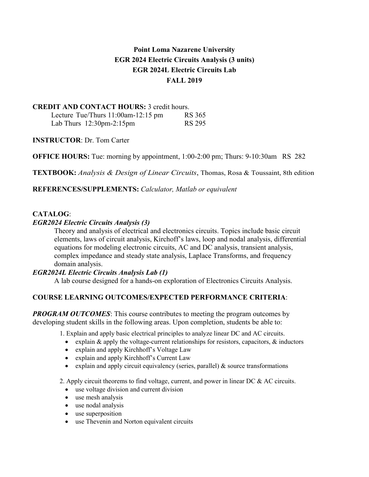# **Point Loma Nazarene University EGR 2024 Electric Circuits Analysis (3 units) EGR 2024L Electric Circuits Lab FALL 2019**

# **CREDIT AND CONTACT HOURS:** 3 credit hours.

| Lecture Tue/Thurs $11:00$ am- $12:15$ pm   | <b>RS 365</b> |
|--------------------------------------------|---------------|
| Lab Thurs $12:30 \text{pm-}2:15 \text{pm}$ | <b>RS 295</b> |

**INSTRUCTOR**: Dr. Tom Carter

**OFFICE HOURS:** Tue: morning by appointment, 1:00-2:00 pm; Thurs: 9-10:30am RS 282

**TEXTBOOK:** *Analysis & Design of Linear Circuits*, Thomas, Rosa & Toussaint, 8th edition

**REFERENCES/SUPPLEMENTS:** *Calculator, Matlab or equivalent*

# **CATALOG**:

## *EGR2024 Electric Circuits Analysis (3)*

Theory and analysis of electrical and electronics circuits. Topics include basic circuit elements, laws of circuit analysis, Kirchoff's laws, loop and nodal analysis, differential equations for modeling electronic circuits, AC and DC analysis, transient analysis, complex impedance and steady state analysis, Laplace Transforms, and frequency domain analysis.

# *EGR2024L Electric Circuits Analysis Lab (1)*

A lab course designed for a hands-on exploration of Electronics Circuits Analysis.

# **COURSE LEARNING OUTCOMES/EXPECTED PERFORMANCE CRITERIA**:

*PROGRAM OUTCOMES*: This course contributes to meeting the program outcomes by developing student skills in the following areas. Upon completion, students be able to:

1. Explain and apply basic electrical principles to analyze linear DC and AC circuits.

- explain & apply the voltage-current relationships for resistors, capacitors, & inductors
- explain and apply Kirchhoff's Voltage Law
- explain and apply Kirchhoff's Current Law
- explain and apply circuit equivalency (series, parallel)  $\&$  source transformations

2. Apply circuit theorems to find voltage, current, and power in linear DC  $\&$  AC circuits.

- use voltage division and current division
- use mesh analysis
- use nodal analysis
- use superposition
- use Thevenin and Norton equivalent circuits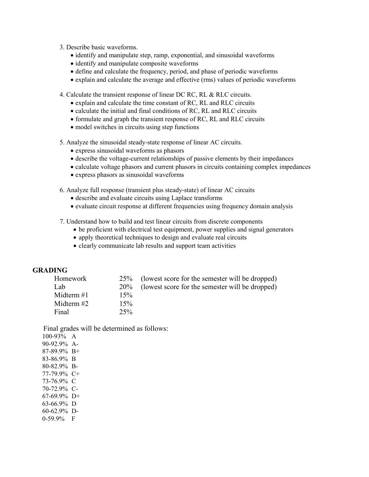- 3. Describe basic waveforms.
	- identify and manipulate step, ramp, exponential, and sinusoidal waveforms
	- identify and manipulate composite waveforms
	- define and calculate the frequency, period, and phase of periodic waveforms
	- explain and calculate the average and effective (rms) values of periodic waveforms

4. Calculate the transient response of linear DC RC, RL & RLC circuits.

- explain and calculate the time constant of RC, RL and RLC circuits
- calculate the initial and final conditions of RC, RL and RLC circuits
- formulate and graph the transient response of RC, RL and RLC circuits
- model switches in circuits using step functions
- 5. Analyze the sinusoidal steady-state response of linear AC circuits.
	- express sinusoidal waveforms as phasors
	- describe the voltage-current relationships of passive elements by their impedances
	- calculate voltage phasors and current phasors in circuits containing complex impedances
	- express phasors as sinusoidal waveforms

6. Analyze full response (transient plus steady-state) of linear AC circuits

- describe and evaluate circuits using Laplace transforms
- evaluate circuit response at different frequencies using frequency domain analysis
- 7. Understand how to build and test linear circuits from discrete components
	- be proficient with electrical test equipment, power supplies and signal generators
	- apply theoretical techniques to design and evaluate real circuits
	- clearly communicate lab results and support team activities

#### **GRADING**

| Homework     |     | 25% (lowest score for the semester will be dropped) |
|--------------|-----|-----------------------------------------------------|
| Lab          |     | 20% (lowest score for the semester will be dropped) |
| Midterm $#1$ | 15% |                                                     |
| Midterm #2   | 15% |                                                     |
| Final        | 25% |                                                     |

Final grades will be determined as follows:

100-93% A 90-92.9% A-87-89.9% B+ 83-86.9% B 80-82.9% B-77-79.9% C+ 73-76.9% C 70-72.9% C-67-69.9% D+ 63-66.9% D 60-62.9% D-0-59.9% F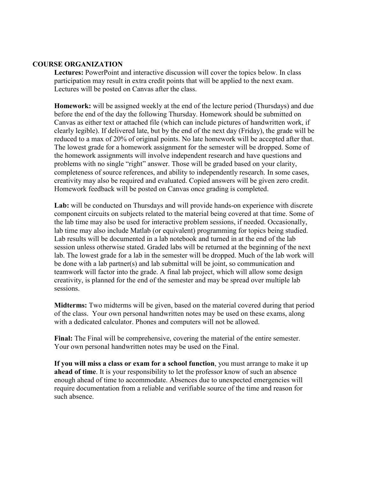#### **COURSE ORGANIZATION**

**Lectures:** PowerPoint and interactive discussion will cover the topics below. In class participation may result in extra credit points that will be applied to the next exam. Lectures will be posted on Canvas after the class.

**Homework:** will be assigned weekly at the end of the lecture period (Thursdays) and due before the end of the day the following Thursday. Homework should be submitted on Canvas as either text or attached file (which can include pictures of handwritten work, if clearly legible). If delivered late, but by the end of the next day (Friday), the grade will be reduced to a max of 20% of original points. No late homework will be accepted after that. The lowest grade for a homework assignment for the semester will be dropped. Some of the homework assignments will involve independent research and have questions and problems with no single "right" answer. Those will be graded based on your clarity, completeness of source references, and ability to independently research. In some cases, creativity may also be required and evaluated. Copied answers will be given zero credit. Homework feedback will be posted on Canvas once grading is completed.

**Lab:** will be conducted on Thursdays and will provide hands-on experience with discrete component circuits on subjects related to the material being covered at that time. Some of the lab time may also be used for interactive problem sessions, if needed. Occasionally, lab time may also include Matlab (or equivalent) programming for topics being studied. Lab results will be documented in a lab notebook and turned in at the end of the lab session unless otherwise stated. Graded labs will be returned at the beginning of the next lab. The lowest grade for a lab in the semester will be dropped. Much of the lab work will be done with a lab partner(s) and lab submittal will be joint, so communication and teamwork will factor into the grade. A final lab project, which will allow some design creativity, is planned for the end of the semester and may be spread over multiple lab sessions.

**Midterms:** Two midterms will be given, based on the material covered during that period of the class. Your own personal handwritten notes may be used on these exams, along with a dedicated calculator. Phones and computers will not be allowed.

**Final:** The Final will be comprehensive, covering the material of the entire semester. Your own personal handwritten notes may be used on the Final.

**If you will miss a class or exam for a school function**, you must arrange to make it up **ahead of time**. It is your responsibility to let the professor know of such an absence enough ahead of time to accommodate. Absences due to unexpected emergencies will require documentation from a reliable and verifiable source of the time and reason for such absence.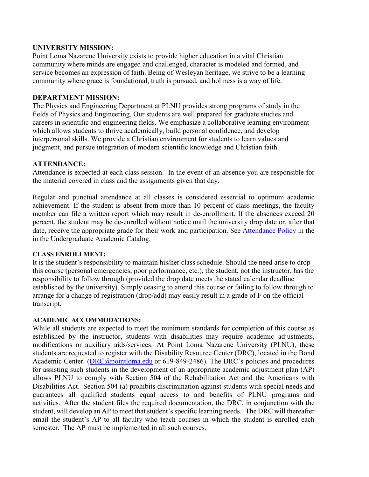## **UNIVERSITY MISSION:**

Point Loma Nazarene University exists to provide higher education in a vital Christian community where minds are engaged and challenged, character is modeled and formed, and service becomes an expression of faith. Being of Wesleyan heritage, we strive to be a learning community where grace is foundational, truth is pursued, and holiness is a way of life.

#### **DEPARTMENT MISSION:**

The Physics and Engineering Department at PLNU provides strong programs of study in the fields of Physics and Engineering. Our students are well prepared for graduate studies and careers in scientific and engineering fields. We emphasize a collaborative learning environment which allows students to thrive academically, build personal confidence, and develop interpersonal skills. We provide a Christian environment for students to learn values and judgment, and pursue integration of modern scientific knowledge and Christian faith.

## **ATTENDANCE:**

Attendance is expected at each class session. In the event of an absence you are responsible for the material covered in class and the assignments given that day.

Regular and punctual attendance at all classes is considered essential to optimum academic achievement. If the student is absent from more than 10 percent of class meetings, the faculty member can file a written report which may result in de-enrollment. If the absences exceed 20 percent, the student may be de-enrolled without notice until the university drop date or, after that date, receive the appropriate grade for their work and participation. See [Attendance Policy](https://catalog.pointloma.edu/content.php?catoid=28&navoid=1761#Class_Attendance) in the in the Undergraduate Academic Catalog.

#### **CLASS ENROLLMENT:**

It is the student's responsibility to maintain his/her class schedule. Should the need arise to drop this course (personal emergencies, poor performance, etc.), the student, not the instructor, has the responsibility to follow through (provided the drop date meets the stated calendar deadline established by the university). Simply ceasing to attend this course or failing to follow through to arrange for a change of registration (drop/add) may easily result in a grade of F on the official transcript.

#### **ACADEMIC ACCOMMODATIONS:**

While all students are expected to meet the minimum standards for completion of this course as established by the instructor, students with disabilities may require academic adjustments, modifications or auxiliary aids/services. At Point Loma Nazarene University (PLNU), these students are requested to register with the Disability Resource Center (DRC), located in the Bond Academic Center. [\(DRC@pointloma.edu](mailto:DRC@pointloma.edu) or 619-849-2486). The DRC's policies and procedures for assisting such students in the development of an appropriate academic adjustment plan (AP) allows PLNU to comply with Section 504 of the Rehabilitation Act and the Americans with Disabilities Act. Section 504 (a) prohibits discrimination against students with special needs and guarantees all qualified students equal access to and benefits of PLNU programs and activities. After the student files the required documentation, the DRC, in conjunction with the student, will develop an AP to meet that student's specific learning needs. The DRC will thereafter email the student's AP to all faculty who teach courses in which the student is enrolled each semester. The AP must be implemented in all such courses.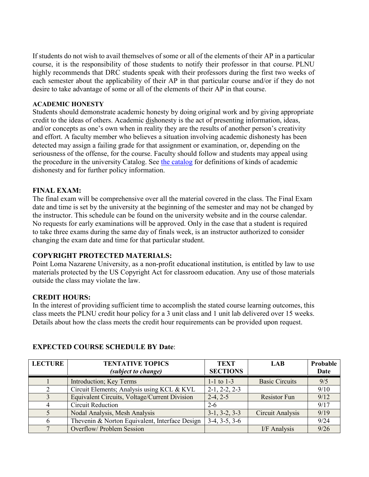If students do not wish to avail themselves of some or all of the elements of their AP in a particular course, it is the responsibility of those students to notify their professor in that course. PLNU highly recommends that DRC students speak with their professors during the first two weeks of each semester about the applicability of their AP in that particular course and/or if they do not desire to take advantage of some or all of the elements of their AP in that course.

#### **ACADEMIC HONESTY**

Students should demonstrate academic honesty by doing original work and by giving appropriate credit to the ideas of others. Academic dishonesty is the act of presenting information, ideas, and/or concepts as one's own when in reality they are the results of another person's creativity and effort. A faculty member who believes a situation involving academic dishonesty has been detected may assign a failing grade for that assignment or examination, or, depending on the seriousness of the offense, for the course. Faculty should follow and students may appeal using the procedure in the university Catalog. See [the catalog](https://catalog.pointloma.edu/content.php?catoid=28&navoid=1761#Academic_Honesty) for definitions of kinds of academic dishonesty and for further policy information.

## **FINAL EXAM:**

The final exam will be comprehensive over all the material covered in the class. The Final Exam date and time is set by the university at the beginning of the semester and may not be changed by the instructor. This schedule can be found on the university website and in the course calendar. No requests for early examinations will be approved. Only in the case that a student is required to take three exams during the same day of finals week, is an instructor authorized to consider changing the exam date and time for that particular student.

# **COPYRIGHT PROTECTED MATERIALS:**

Point Loma Nazarene University, as a non-profit educational institution, is entitled by law to use materials protected by the US Copyright Act for classroom education. Any use of those materials outside the class may violate the law.

#### **CREDIT HOURS:**

In the interest of providing sufficient time to accomplish the stated course learning outcomes, this class meets the PLNU credit hour policy for a 3 unit class and 1 unit lab delivered over 15 weeks. Details about how the class meets the credit hour requirements can be provided upon request.

| <b>LECTURE</b> | <b>TENTATIVE TOPICS</b><br><i>(subject to change)</i> | <b>TEXT</b><br><b>SECTIONS</b> | <b>LAB</b>            | Probable<br>Date |
|----------------|-------------------------------------------------------|--------------------------------|-----------------------|------------------|
|                | Introduction; Key Terms                               | $1-1$ to $1-3$                 | <b>Basic Circuits</b> | 9/5              |
|                | Circuit Elements; Analysis using KCL & KVL            | $2-1, 2-2, 2-3$                |                       | 9/10             |
| 3              | Equivalent Circuits, Voltage/Current Division         | $2-4, 2-5$                     | <b>Resistor Fun</b>   | 9/12             |
| 4              | <b>Circuit Reduction</b>                              | $2 - 6$                        |                       | 9/17             |
| $\mathcal{F}$  | Nodal Analysis, Mesh Analysis                         | $3-1, 3-2, 3-3$                | Circuit Analysis      | 9/19             |
| 6              | Thevenin & Norton Equivalent, Interface Design        | $3-4, 3-5, 3-6$                |                       | 9/24             |
|                | Overflow/ Problem Session                             |                                | I/F Analysis          | 9/26             |

# **EXPECTED COURSE SCHEDULE BY Date**: